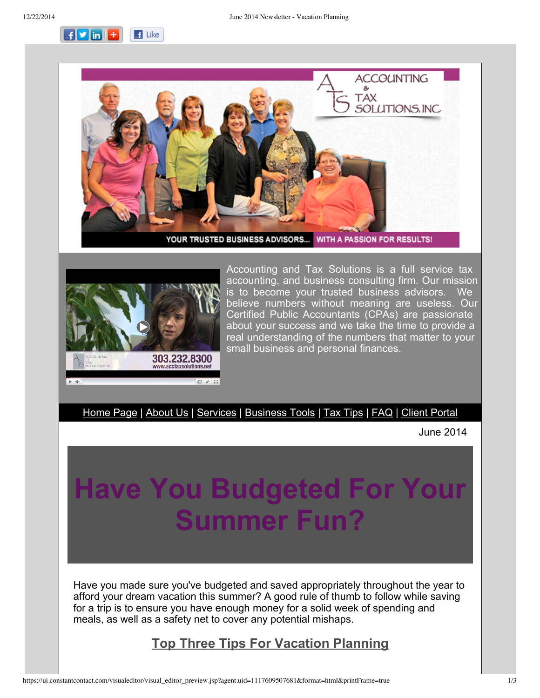$F$   $\mathbf{v}$  in  $\mathbf{r}$  $\blacksquare$  Like





Accounting and Tax Solutions is a full service tax accounting, and business consulting firm. Our mission is to become your trusted business advisors. We believe numbers without meaning are useless. Our Certified Public Accountants (CPAs) are passionate about your success and we take the time to provide a real understanding of the numbers that matter to your small business and personal finances.

[Home](http://r20.rs6.net/tn.jsp?e=0014wlczSK1lEkXDUd65Yuc8PAAA61ibZw-PaOFiLvm0RoPICCePr4zia8-tuagJ1MJxfdpsIHH1YVO7pOWG14h0eeTjoERhafIYs-Ctgt9rGG4YNOK-3JXvA==) Page | [About](http://r20.rs6.net/tn.jsp?e=0014wlczSK1lEkXDUd65Yuc8PAAA61ibZw-PaOFiLvm0RoPICCePr4zia8-tuagJ1MJxfdpsIHH1YVO7pOWG14h0eeTjoERhafIYs-Ctgt9rGGnlWEttVsjvvc6f9ycjAPn) Us | [Services](http://r20.rs6.net/tn.jsp?e=0014wlczSK1lEkXDUd65Yuc8PAAA61ibZw-PaOFiLvm0RoPICCePr4zia8-tuagJ1MJxfdpsIHH1YVO7pOWG14h0eeTjoERhafIYs-Ctgt9rGERam7RgpPxFEpRDYxocMY2) | [Business](http://r20.rs6.net/tn.jsp?e=0014wlczSK1lEkXDUd65Yuc8PAAA61ibZw-PaOFiLvm0RoPICCePr4zia8-tuagJ1MJxfdpsIHH1YVO7pOWG14h0eeTjoERhafIYs-Ctgt9rGFSErga-kQw3iiHieJ5LV7XsgXbEDHO4Qw=) Tools | Tax [Tips](http://r20.rs6.net/tn.jsp?e=0014wlczSK1lEkXDUd65Yuc8PAAA61ibZw-PaOFiLvm0RoPICCePr4zia8-tuagJ1MJxfdpsIHH1YVO7pOWG14h0eeTjoERhafIYs-Ctgt9rGE6dyvISspvD1KHMWlzDODH) | [FAQ](http://r20.rs6.net/tn.jsp?e=0014wlczSK1lEkXDUd65Yuc8PAAA61ibZw-PaOFiLvm0RoPICCePr4zia8-tuagJ1MJxfdpsIHH1YVO7pOWG14h0eeTjoERhafIYs-Ctgt9rGEizJHdUq6IUg5u7n58nD-T) | Client [Portal](http://r20.rs6.net/tn.jsp?e=0014wlczSK1lEkXDUd65Yuc8PAAA61ibZw-PaOFiLvm0RoPICCePr4zia8-tuagJ1MJxfdpsIHH1YVO7pOWG14h0eeTjoERhafIYs-Ctgt9rGFTzLajQn7RhcXPJ8gU-oUmfWuIIdZgDF8=)

June 2014

# **Have You Budgeted For Your Summer Fun?**

Have you made sure you've budgeted and saved appropriately throughout the year to afford your dream vacation this summer? A good rule of thumb to follow while saving for a trip is to ensure you have enough money for a solid week of spending and meals, as well as a safety net to cover any potential mishaps.

## **Top Three Tips For Vacation Planning**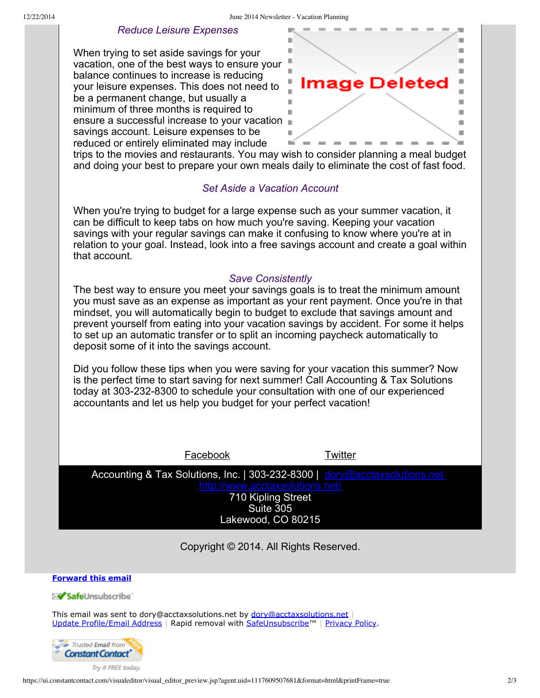#### *Reduce Leisure Expenses*

When trying to set aside savings for your vacation, one of the best ways to ensure your balance continues to increase is reducing your leisure expenses. This does not need to be a permanent change, but usually a minimum of three months is required to ensure a successful increase to your vacation savings account. Leisure expenses to be reduced or entirely eliminated may include



trips to the movies and restaurants. You may wish to consider planning a meal budget and doing your best to prepare your own meals daily to eliminate the cost of fast food.

### *Set Aside a Vacation Account*

When you're trying to budget for a large expense such as your summer vacation, it can be difficult to keep tabs on how much you're saving. Keeping your vacation savings with your regular savings can make it confusing to know where you're at in relation to your goal. Instead, look into a free savings account and create a goal within that account.

#### *Save Consistently*

The best way to ensure you meet your savings goals is to treat the minimum amount you must save as an expense as important as your rent payment. Once you're in that mindset, you will automatically begin to budget to exclude that savings amount and prevent yourself from eating into your vacation savings by accident. For some it helps to set up an automatic transfer or to split an incoming paycheck automatically to deposit some of it into the savings account.

Did you follow these tips when you were saving for your vacation this summer? Now is the perfect time to start saving for next summer! Call Accounting & Tax Solutions today at 303-232-8300 to schedule your consultation with one of our experienced accountants and let us help you budget for your perfect vacation!

Facebook [Twitter](http://r20.rs6.net/tn.jsp?e=0014wlczSK1lEkXDUd65Yuc8PAAA61ibZw-PaOFiLvm0RoPICCePr4zia8-tuagJ1MJztLSUo7gUK1tnP0G_hogTf1eCLkOTk3-0jj91-Uo32zH_qmorp-j7wnzqYZVNTPv)

Accounting & Tax Solutions, Inc. | 303-232-8300 | [dory@acctaxsolutions.net](mailto:dory@acctaxsolutions.net)

710 Kipling Street Suite 305 Lakewood, CO 80215

Copyright © 2014. All Rights Reserved.

**[Forward](http://ui.constantcontact.com/sa/fwtf.jsp?llr=a6v4u6cab&m=1102654199712&ea=dory@acctaxsolutions.net&a=1117609507681&id=preview) this email**

≫<mark>⁄ Safe</mark>Unsubscribe`

This email was sent to [dory@acctaxsolutions.net](mailto:dory@acctaxsolutions.net) by dory@acctaxsolutions.net Update [Profile/Email](http://visitor.constantcontact.com/do?p=oo&mse=001aQrkMZOJR3XL5s8xAUk2T7IW7Wv0ni-gjKYWki298BtM8341m2liZg%3D%3D&t=001hgpsGVLAsdDofI95wWJuJQ%3D%3D&l=001FCSs65SMrsI%3D&id=001b-xBWU3VMkfS6waGF-ytt4YcNjcG8Q5b&llr=a6v4u6cab) Address | Rapid removal with [SafeUnsubscribe™](http://visitor.constantcontact.com/do?p=un&mse=001aQrkMZOJR3XL5s8xAUk2T7IW7Wv0ni-gjKYWki298BtM8341m2liZg%3D%3D&t=001hgpsGVLAsdDofI95wWJuJQ%3D%3D&l=001FCSs65SMrsI%3D&id=001b-xBWU3VMkfS6waGF-ytt4YcNjcG8Q5b&llr=a6v4u6cab) | [Privacy](https://ui.constantcontact.com/roving/CCPrivacyPolicy.jsp?id=preview) Policy.



Try it FREE today.